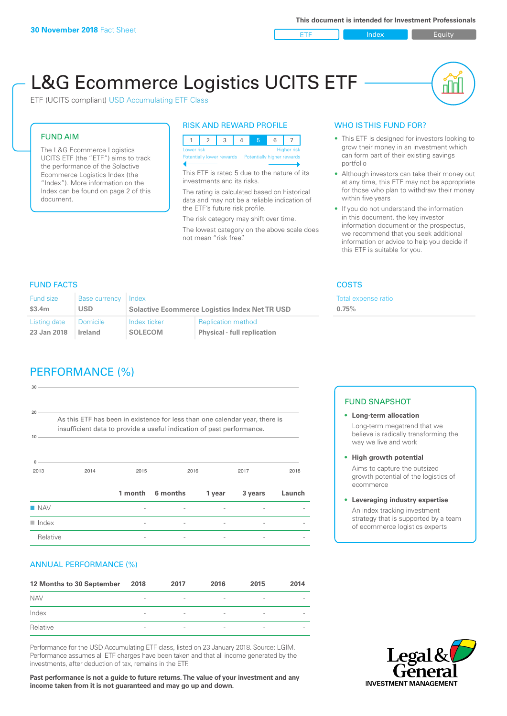ETF Index Requity

nl IN

# L&G Ecommerce Logistics UCITS ETF

ETF (UCITS compliant) USD Accumulating ETF Class

### FUND AIM

The L&G Ecommerce Logistics UCITS ETF (the "ETF") aims to track the performance of the Solactive Ecommerce Logistics Index (the "Index"). More information on the Index can be found on page 2 of this document.

### RISK AND REWARD PROFILE



This ETF is rated 5 due to the nature of its investments and its risks.

The rating is calculated based on historical data and may not be a reliable indication of the ETF's future risk profile.

The risk category may shift over time. The lowest category on the above scale does not mean "risk free".

### WHO IS THIS FUND FOR?

- This ETF is designed for investors looking to grow their money in an investment which can form part of their existing savings portfolio
- Although investors can take their money out at any time, this ETF may not be appropriate for those who plan to withdraw their money within five years
- If you do not understand the information in this document, the key investor information document or the prospectus, we recommend that you seek additional information or advice to help you decide if this ETF is suitable for you.

**0.75%**

Total expense ratio

### FUND FACTS COSTS

| Fund size    | <b>Base currency</b> | Index                                                 |                                    |  |
|--------------|----------------------|-------------------------------------------------------|------------------------------------|--|
| \$3.4m       | USD.                 | <b>Solactive Ecommerce Logistics Index Net TR USD</b> |                                    |  |
| Listing date | Domicile             | Index ticker                                          | <b>Replication method</b>          |  |
| 23 Jan 2018  | <b>Ireland</b>       | <b>SOLECOM</b>                                        | <b>Physical - full replication</b> |  |

## PERFORMANCE (%)

| 30                                                                                                                                                               |      |         |          |        |         |        |
|------------------------------------------------------------------------------------------------------------------------------------------------------------------|------|---------|----------|--------|---------|--------|
| 20<br>As this ETF has been in existence for less than one calendar year, there is<br>insufficient data to provide a useful indication of past performance.<br>10 |      |         |          |        |         |        |
| $\Omega$<br>2013                                                                                                                                                 | 2014 | 2015    |          | 2016   | 2017    | 2018   |
|                                                                                                                                                                  |      | 1 month | 6 months | 1 year | 3 years | Launch |
| $\blacksquare$ NAV                                                                                                                                               |      |         |          |        |         |        |
| $\blacksquare$ Index                                                                                                                                             |      | -       |          | -      |         |        |
| Relative                                                                                                                                                         |      |         |          |        |         |        |

### ANNUAL PERFORMANCE (%)

| 12 Months to 30 September | 2018                     | 2017                     | 2016            | 2015                     | 2014 |
|---------------------------|--------------------------|--------------------------|-----------------|--------------------------|------|
| <b>NAV</b>                | $\overline{\phantom{a}}$ | $\qquad \qquad$          | $\qquad \qquad$ | $\overline{\phantom{a}}$ |      |
| Index                     | $\overline{\phantom{a}}$ | $\overline{\phantom{a}}$ | $\qquad \qquad$ | $\overline{\phantom{a}}$ |      |
| Relative                  | $\sim$                   | $\overline{\phantom{a}}$ |                 | $\qquad \qquad$          |      |

Performance for the USD Accumulating ETF class, listed on 23 January 2018. Source: LGIM. Performance assumes all ETF charges have been taken and that all income generated by the investments, after deduction of tax, remains in the ETF.

**Past performance is not a guide to future returns. The value of your investment and any income taken from it is not guaranteed and may go up and down.**

### FUND SNAPSHOT

- **• Long-term allocation** Long-term megatrend that we believe is radically transforming the way we live and work
- **• High growth potential**

Aims to capture the outsized growth potential of the logistics of ecommerce

#### **• Leveraging industry expertise**

An index tracking investment strategy that is supported by a team of ecommerce logistics experts

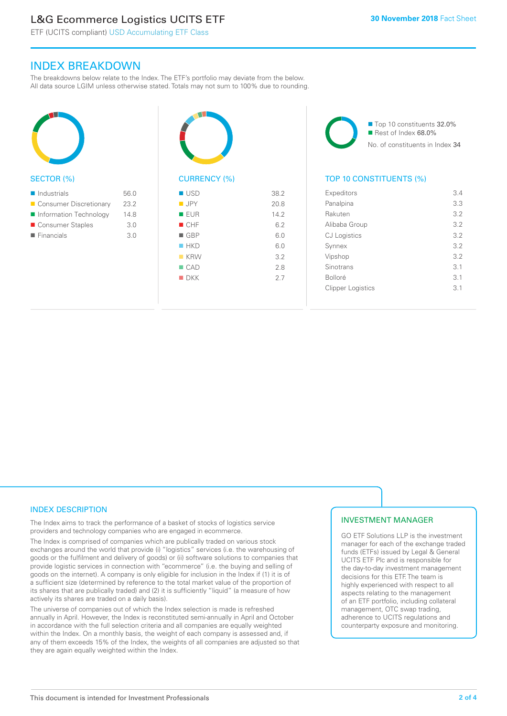### L&G Ecommerce Logistics UCITS ETF

ETF (UCITS compliant) USD Accumulating ETF Class

### INDEX BREAKDOWN

The breakdowns below relate to the Index. The ETF's portfolio may deviate from the below. All data source LGIM unless otherwise stated. Totals may not sum to 100% due to rounding.



### SECTOR (%)

| $\blacksquare$ Industrials | 56.0 |
|----------------------------|------|
| ■ Consumer Discretionary   | 23.2 |
| Information Technology     | 148  |
| ■ Consumer Staples         | 3.0  |
| $\blacksquare$ Financials  | 3.0  |
|                            |      |



### CURRENCY (%)

| $\blacksquare$ USD | 38.2 |
|--------------------|------|
| $\blacksquare$ JPY | 20.8 |
| <b>EUR</b>         | 14.2 |
| CHF                | 6.2  |
| $\blacksquare$ GBP | 6.0  |
| HKD                | 6.0  |
| $K$ KRW            | 3.2  |
| $\Box$ CAD         | 2.8  |
| $\blacksquare$ DKK | 27   |
|                    |      |

■ Top 10 constituents 32.0% Rest of Index 68.0% No. of constituents in Index 34

### TOP 10 CONSTITUENTS (%)

| Expeditors               | 3.4             |
|--------------------------|-----------------|
| Panalpina                | 3.3             |
| Rakuten                  | 3.2             |
| Alibaba Group            | 3.2             |
| <b>CJ</b> Logistics      | 3.2             |
| Synnex                   | 3.2             |
| Vipshop                  | 3.2             |
| Sinotrans                | 3.1             |
| <b>Bolloré</b>           | 3.1             |
| <b>Clipper Logistics</b> | $\overline{3}1$ |
|                          |                 |

### INDEX DESCRIPTION

The Index aims to track the performance of a basket of stocks of logistics service providers and technology companies who are engaged in ecommerce.

The Index is comprised of companies which are publically traded on various stock exchanges around the world that provide (i) "logistics" services (i.e. the warehousing of goods or the fulfilment and delivery of goods) or (ii) software solutions to companies that provide logistic services in connection with "ecommerce" (i.e. the buying and selling of goods on the internet). A company is only eligible for inclusion in the Index if (1) it is of a sufficient size (determined by reference to the total market value of the proportion of its shares that are publically traded) and (2) it is sufficiently "liquid" (a measure of how actively its shares are traded on a daily basis).

The universe of companies out of which the Index selection is made is refreshed annually in April. However, the Index is reconstituted semi-annually in April and October in accordance with the full selection criteria and all companies are equally weighted within the Index. On a monthly basis, the weight of each company is assessed and, if any of them exceeds 15% of the Index, the weights of all companies are adjusted so that they are again equally weighted within the Index.

### INVESTMENT MANAGER

GO ETF Solutions LLP is the investment manager for each of the exchange traded funds (ETFs) issued by Legal & General UCITS ETF Plc and is responsible for the day-to-day investment management decisions for this ETF. The team is highly experienced with respect to all aspects relating to the management of an ETF portfolio, including collateral management, OTC swap trading, adherence to UCITS regulations and counterparty exposure and monitoring.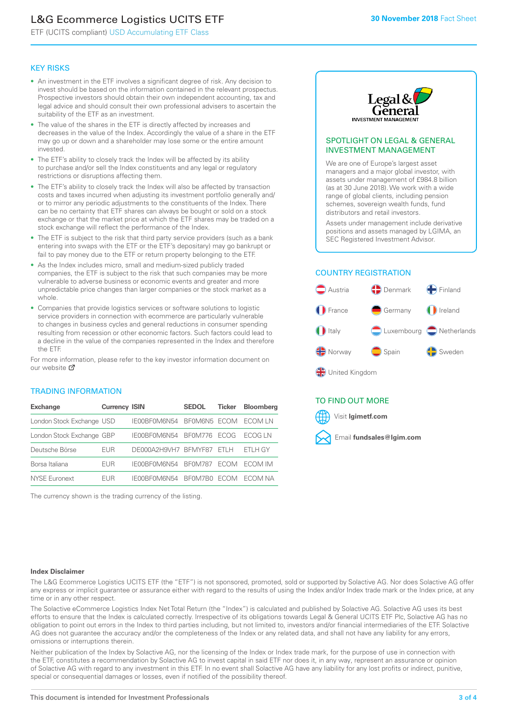### L&G Ecommerce Logistics UCITS ETF

ETF (UCITS compliant) USD Accumulating ETF Class

### KEY RISKS

- An investment in the ETF involves a significant degree of risk. Any decision to invest should be based on the information contained in the relevant prospectus. Prospective investors should obtain their own independent accounting, tax and legal advice and should consult their own professional advisers to ascertain the suitability of the ETF as an investment.
- The value of the shares in the ETF is directly affected by increases and decreases in the value of the Index. Accordingly the value of a share in the ETF may go up or down and a shareholder may lose some or the entire amount invested.
- The ETF's ability to closely track the Index will be affected by its ability to purchase and/or sell the Index constituents and any legal or regulatory restrictions or disruptions affecting them.
- The ETF's ability to closely track the Index will also be affected by transaction costs and taxes incurred when adjusting its investment portfolio generally and/ or to mirror any periodic adjustments to the constituents of the Index. There can be no certainty that ETF shares can always be bought or sold on a stock exchange or that the market price at which the ETF shares may be traded on a stock exchange will reflect the performance of the Index.
- The ETF is subject to the risk that third party service providers (such as a bank entering into swaps with the ETF or the ETF's depositary) may go bankrupt or fail to pay money due to the ETF or return property belonging to the ETF.
- As the Index includes micro, small and medium-sized publicly traded companies, the ETF is subject to the risk that such companies may be more vulnerable to adverse business or economic events and greater and more unpredictable price changes than larger companies or the stock market as a whole.
- Companies that provide logistics services or software solutions to logistic service providers in connection with ecommerce are particularly vulnerable to changes in business cycles and general reductions in consumer spending resulting from recession or other economic factors. Such factors could lead to a decline in the value of the companies represented in the Index and therefore the ETF.

For more information, please refer to the key investor information document on our website ぴ

### TRADING INFORMATION

| <b>Exchange</b>           | <b>Currency ISIN</b> |                      | <b>SEDOL</b>   | <b>Ticker</b> | <b>Bloomberg</b> |
|---------------------------|----------------------|----------------------|----------------|---------------|------------------|
| London Stock Exchange USD |                      | IE00BF0M6N54         | BFOM6N5 ECOM   |               | ECOM I N         |
| London Stock Exchange GBP |                      | IE00BF0M6N54         | <b>BF0M776</b> | <b>FCOG</b>   | FCOG IN          |
| Deutsche Börse            | <b>EUR</b>           | DE000A2H9VH7 BFMYF87 |                | FTI H         | ETLH GY          |
| Borsa Italiana            | <b>EUR</b>           | IE00BF0M6N54         | <b>BF0M787</b> | <b>FCOM</b>   | ECOM IM          |
| <b>NYSE Euronext</b>      | <b>FUR</b>           | IE00BF0M6N54         | BF0M7B0        | <b>FCOM</b>   | FCOM NA          |

The currency shown is the trading currency of the listing.



### SPOTLIGHT ON LEGAL & GENERAL INVESTMENT MANAGEMENT

We are one of Europe's largest asset managers and a major global investor, with assets under management of £984.8 billion (as at 30 June 2018). We work with a wide range of global clients, including pension schemes, sovereign wealth funds, fund distributors and retail investors.

Assets under management include derivative positions and assets managed by LGIMA, an SEC Registered Investment Advisor.

### COUNTRY REGISTRATION



### TO FIND OUT MORE

Visit **lgimetf.com**



#### **Index Disclaimer**

The L&G Ecommerce Logistics UCITS ETF (the "ETF") is not sponsored, promoted, sold or supported by Solactive AG. Nor does Solactive AG offer any express or implicit guarantee or assurance either with regard to the results of using the Index and/or Index trade mark or the Index price, at any time or in any other respect.

The Solactive eCommerce Logistics Index Net Total Return (the "Index") is calculated and published by Solactive AG. Solactive AG uses its best efforts to ensure that the Index is calculated correctly. Irrespective of its obligations towards Legal & General UCITS ETF Plc, Solactive AG has no obligation to point out errors in the Index to third parties including, but not limited to, investors and/or financial intermediaries of the ETF. Solactive AG does not guarantee the accuracy and/or the completeness of the Index or any related data, and shall not have any liability for any errors, omissions or interruptions therein.

Neither publication of the Index by Solactive AG, nor the licensing of the Index or Index trade mark, for the purpose of use in connection with the ETF, constitutes a recommendation by Solactive AG to invest capital in said ETF nor does it, in any way, represent an assurance or opinion of Solactive AG with regard to any investment in this ETF. In no event shall Solactive AG have any liability for any lost profits or indirect, punitive, special or consequential damages or losses, even if notified of the possibility thereof.